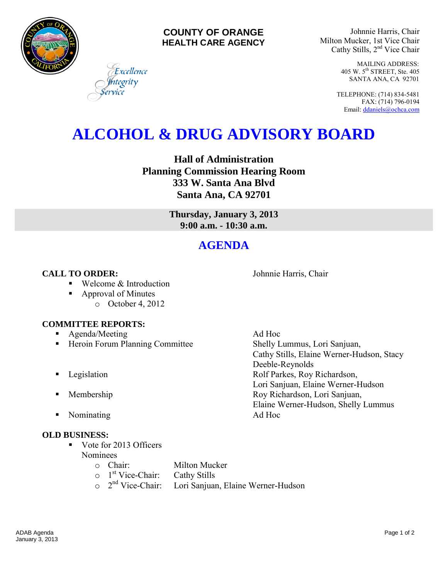

#### **COUNTY OF ORANGE HEALTH CARE AGENCY**

Johnnie Harris, Chair Milton Mucker, 1st Vice Chair Cathy Stills, 2<sup>nd</sup> Vice Chair

> MAILING ADDRESS: 405 W. 5th STREET, Ste. 405 SANTA ANA, CA 92701

TELEPHONE: (714) 834-5481 FAX: (714) 796-0194 Email[: ddaniels@ochca.com](mailto:ddaniels@ochca.com)

# **ALCOHOL & DRUG ADVISORY BOARD**

**Hall of Administration Planning Commission Hearing Room 333 W. Santa Ana Blvd Santa Ana, CA 92701** 

> **Thursday, January 3, 2013 9:00 a.m. - 10:30 a.m.**

## **AGENDA**

### **CALL TO ORDER:** Johnnie Harris, Chair

■ Welcome & Introduction

■ Approval of Minutes o October 4, 2012

#### **COMMITTEE REPORTS:**

- **Agenda/Meeting Ad Hoc**
- Heroin Forum Planning Committee Shelly Lummus, Lori Sanjuan,
- 
- 
- Nominating Ad Hoc

#### **OLD BUSINESS:**

- Vote for 2013 Officers Nominees
	- o Chair: Milton Mucker
		-
	- o 1<sup>st</sup> Vice-Chair: Cathy Stills  $\circ$  2<sup>nd</sup> Vice-Chair: Lori Sanjuan, Elaine Werner-Hudson

Cathy Stills, Elaine Werner-Hudson, Stacy Deeble-Reynolds **Example 3** Legislation **Rolf Parkes, Roy Richardson,** Lori Sanjuan, Elaine Werner-Hudson **Membership Roy Richardson, Lori Sanjuan,** Elaine Werner-Hudson, Shelly Lummus

ADAB Agenda Page 1 of 2 January 3, 2013

Excellence tegrity